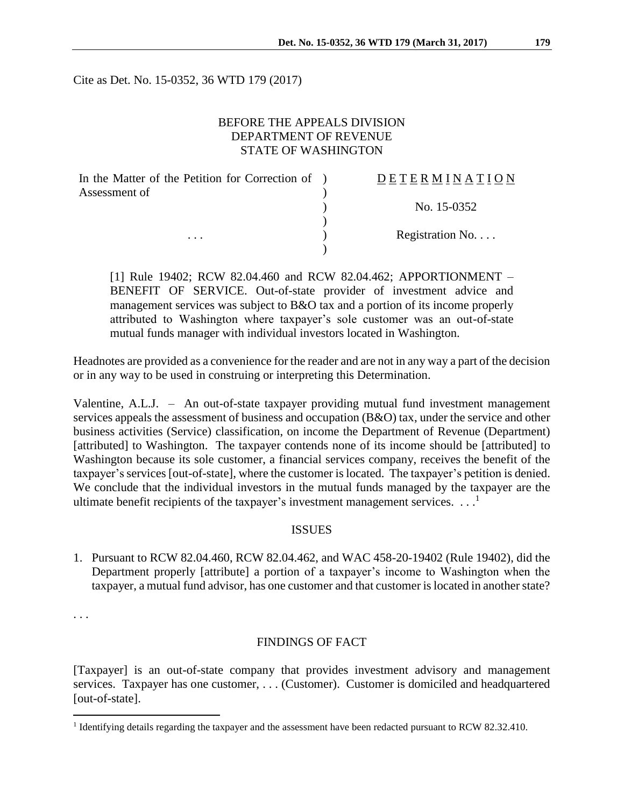Cite as Det. No. 15-0352, 36 WTD 179 (2017)

### BEFORE THE APPEALS DIVISION DEPARTMENT OF REVENUE STATE OF WASHINGTON

| In the Matter of the Petition for Correction of ) | DETERMINATION   |
|---------------------------------------------------|-----------------|
| Assessment of                                     |                 |
|                                                   | No. 15-0352     |
|                                                   |                 |
| $\cdots$                                          | Registration No |
|                                                   |                 |

[1] Rule 19402; RCW 82.04.460 and RCW 82.04.462; APPORTIONMENT – BENEFIT OF SERVICE. Out-of-state provider of investment advice and management services was subject to B&O tax and a portion of its income properly attributed to Washington where taxpayer's sole customer was an out-of-state mutual funds manager with individual investors located in Washington.

Headnotes are provided as a convenience for the reader and are not in any way a part of the decision or in any way to be used in construing or interpreting this Determination.

Valentine, A.L.J. – An out-of-state taxpayer providing mutual fund investment management services appeals the assessment of business and occupation (B&O) tax, under the service and other business activities (Service) classification, on income the Department of Revenue (Department) [attributed] to Washington. The taxpayer contends none of its income should be [attributed] to Washington because its sole customer, a financial services company, receives the benefit of the taxpayer's services [out-of-state], where the customer is located. The taxpayer's petition is denied. We conclude that the individual investors in the mutual funds managed by the taxpayer are the ultimate benefit recipients of the taxpayer's investment management services.  $\dots$ <sup>1</sup>

### **ISSUES**

1. Pursuant to RCW 82.04.460, RCW 82.04.462, and WAC 458-20-19402 (Rule 19402), did the Department properly [attribute] a portion of a taxpayer's income to Washington when the taxpayer, a mutual fund advisor, has one customer and that customer is located in another state?

. . .

 $\overline{a}$ 

#### FINDINGS OF FACT

[Taxpayer] is an out-of-state company that provides investment advisory and management services. Taxpayer has one customer, . . . (Customer). Customer is domiciled and headquartered [out-of-state].

<sup>&</sup>lt;sup>1</sup> Identifying details regarding the taxpayer and the assessment have been redacted pursuant to RCW 82.32.410.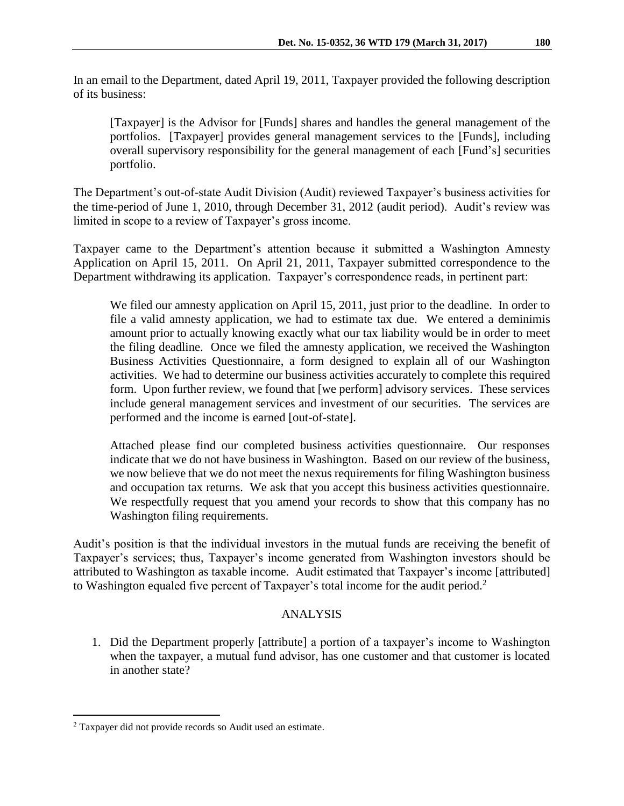In an email to the Department, dated April 19, 2011, Taxpayer provided the following description of its business:

[Taxpayer] is the Advisor for [Funds] shares and handles the general management of the portfolios. [Taxpayer] provides general management services to the [Funds], including overall supervisory responsibility for the general management of each [Fund's] securities portfolio.

The Department's out-of-state Audit Division (Audit) reviewed Taxpayer's business activities for the time-period of June 1, 2010, through December 31, 2012 (audit period). Audit's review was limited in scope to a review of Taxpayer's gross income.

Taxpayer came to the Department's attention because it submitted a Washington Amnesty Application on April 15, 2011. On April 21, 2011, Taxpayer submitted correspondence to the Department withdrawing its application. Taxpayer's correspondence reads, in pertinent part:

We filed our amnesty application on April 15, 2011, just prior to the deadline. In order to file a valid amnesty application, we had to estimate tax due. We entered a deminimis amount prior to actually knowing exactly what our tax liability would be in order to meet the filing deadline. Once we filed the amnesty application, we received the Washington Business Activities Questionnaire, a form designed to explain all of our Washington activities. We had to determine our business activities accurately to complete this required form. Upon further review, we found that [we perform] advisory services. These services include general management services and investment of our securities. The services are performed and the income is earned [out-of-state].

Attached please find our completed business activities questionnaire. Our responses indicate that we do not have business in Washington. Based on our review of the business, we now believe that we do not meet the nexus requirements for filing Washington business and occupation tax returns. We ask that you accept this business activities questionnaire. We respectfully request that you amend your records to show that this company has no Washington filing requirements.

Audit's position is that the individual investors in the mutual funds are receiving the benefit of Taxpayer's services; thus, Taxpayer's income generated from Washington investors should be attributed to Washington as taxable income. Audit estimated that Taxpayer's income [attributed] to Washington equaled five percent of Taxpayer's total income for the audit period.<sup>2</sup>

# ANALYSIS

1. Did the Department properly [attribute] a portion of a taxpayer's income to Washington when the taxpayer, a mutual fund advisor, has one customer and that customer is located in another state?

 $\overline{a}$ 

<sup>2</sup> Taxpayer did not provide records so Audit used an estimate.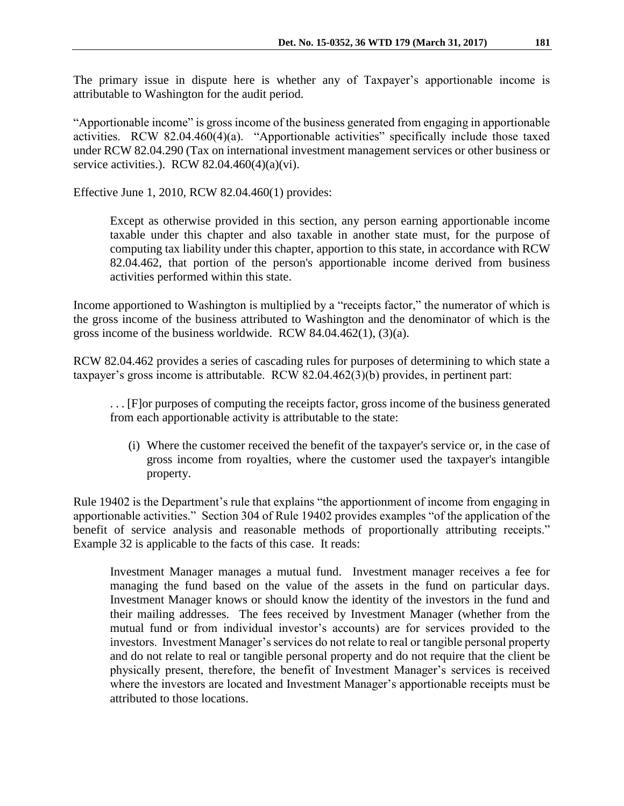The primary issue in dispute here is whether any of Taxpayer's apportionable income is attributable to Washington for the audit period.

"Apportionable income" is gross income of the business generated from engaging in apportionable activities. RCW 82.04.460(4)(a). "Apportionable activities" specifically include those taxed under RCW 82.04.290 (Tax on international investment management services or other business or service activities.). RCW  $82.04.460(4)(a)(vi)$ .

Effective June 1, 2010, RCW 82.04.460(1) provides:

Except as otherwise provided in this section, any person earning apportionable income taxable under this chapter and also taxable in another state must, for the purpose of computing tax liability under this chapter, apportion to this state, in accordance with RCW [82.04.462,](http://apps.leg.wa.gov/rcw/default.aspx?cite=82.04.462) that portion of the person's apportionable income derived from business activities performed within this state.

Income apportioned to Washington is multiplied by a "receipts factor," the numerator of which is the gross income of the business attributed to Washington and the denominator of which is the gross income of the business worldwide. RCW 84.04.462(1), (3)(a).

RCW 82.04.462 provides a series of cascading rules for purposes of determining to which state a taxpayer's gross income is attributable. RCW 82.04.462(3)(b) provides, in pertinent part:

. . . [F]or purposes of computing the receipts factor, gross income of the business generated from each apportionable activity is attributable to the state:

(i) Where the customer received the benefit of the taxpayer's service or, in the case of gross income from royalties, where the customer used the taxpayer's intangible property.

Rule 19402 is the Department's rule that explains "the apportionment of income from engaging in apportionable activities." Section 304 of Rule 19402 provides examples "of the application of the benefit of service analysis and reasonable methods of proportionally attributing receipts." Example 32 is applicable to the facts of this case. It reads:

Investment Manager manages a mutual fund. Investment manager receives a fee for managing the fund based on the value of the assets in the fund on particular days. Investment Manager knows or should know the identity of the investors in the fund and their mailing addresses. The fees received by Investment Manager (whether from the mutual fund or from individual investor's accounts) are for services provided to the investors. Investment Manager's services do not relate to real or tangible personal property and do not relate to real or tangible personal property and do not require that the client be physically present, therefore, the benefit of Investment Manager's services is received where the investors are located and Investment Manager's apportionable receipts must be attributed to those locations.